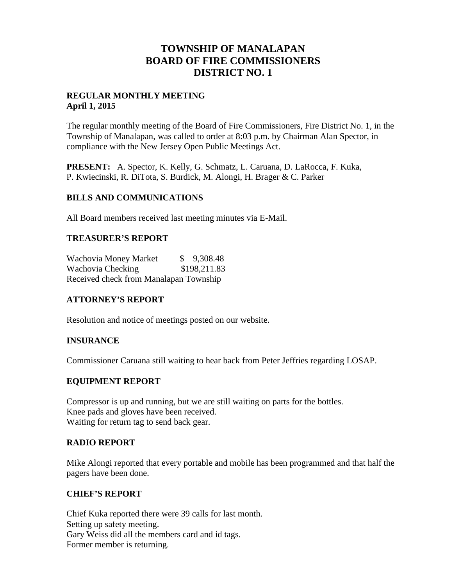# **TOWNSHIP OF MANALAPAN BOARD OF FIRE COMMISSIONERS DISTRICT NO. 1**

## **REGULAR MONTHLY MEETING April 1, 2015**

The regular monthly meeting of the Board of Fire Commissioners, Fire District No. 1, in the Township of Manalapan, was called to order at 8:03 p.m. by Chairman Alan Spector, in compliance with the New Jersey Open Public Meetings Act.

**PRESENT:** A. Spector, K. Kelly, G. Schmatz, L. Caruana, D. LaRocca, F. Kuka, P. Kwiecinski, R. DiTota, S. Burdick, M. Alongi, H. Brager & C. Parker

## **BILLS AND COMMUNICATIONS**

All Board members received last meeting minutes via E-Mail.

## **TREASURER'S REPORT**

Wachovia Money Market  $$ 9,308.48$ Wachovia Checking \$198,211.83 Received check from Manalapan Township

# **ATTORNEY'S REPORT**

Resolution and notice of meetings posted on our website.

## **INSURANCE**

Commissioner Caruana still waiting to hear back from Peter Jeffries regarding LOSAP.

## **EQUIPMENT REPORT**

Compressor is up and running, but we are still waiting on parts for the bottles. Knee pads and gloves have been received. Waiting for return tag to send back gear.

## **RADIO REPORT**

Mike Alongi reported that every portable and mobile has been programmed and that half the pagers have been done.

## **CHIEF'S REPORT**

Chief Kuka reported there were 39 calls for last month. Setting up safety meeting. Gary Weiss did all the members card and id tags. Former member is returning.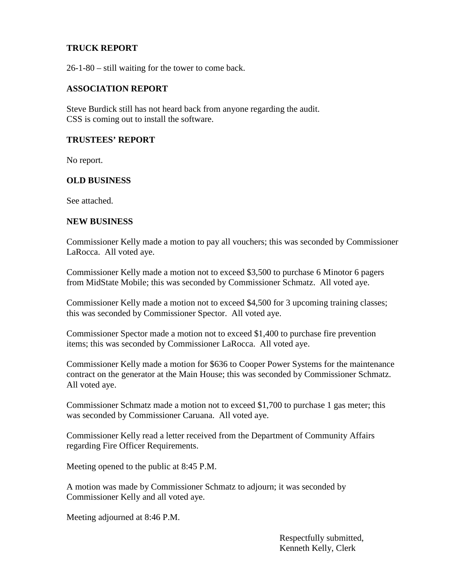## **TRUCK REPORT**

26-1-80 – still waiting for the tower to come back.

#### **ASSOCIATION REPORT**

Steve Burdick still has not heard back from anyone regarding the audit. CSS is coming out to install the software.

## **TRUSTEES' REPORT**

No report.

#### **OLD BUSINESS**

See attached.

#### **NEW BUSINESS**

Commissioner Kelly made a motion to pay all vouchers; this was seconded by Commissioner LaRocca. All voted aye.

Commissioner Kelly made a motion not to exceed \$3,500 to purchase 6 Minotor 6 pagers from MidState Mobile; this was seconded by Commissioner Schmatz. All voted aye.

Commissioner Kelly made a motion not to exceed \$4,500 for 3 upcoming training classes; this was seconded by Commissioner Spector. All voted aye.

Commissioner Spector made a motion not to exceed \$1,400 to purchase fire prevention items; this was seconded by Commissioner LaRocca. All voted aye.

Commissioner Kelly made a motion for \$636 to Cooper Power Systems for the maintenance contract on the generator at the Main House; this was seconded by Commissioner Schmatz. All voted aye.

Commissioner Schmatz made a motion not to exceed \$1,700 to purchase 1 gas meter; this was seconded by Commissioner Caruana. All voted aye.

Commissioner Kelly read a letter received from the Department of Community Affairs regarding Fire Officer Requirements.

Meeting opened to the public at 8:45 P.M.

A motion was made by Commissioner Schmatz to adjourn; it was seconded by Commissioner Kelly and all voted aye.

Meeting adjourned at 8:46 P.M.

Respectfully submitted, Kenneth Kelly, Clerk